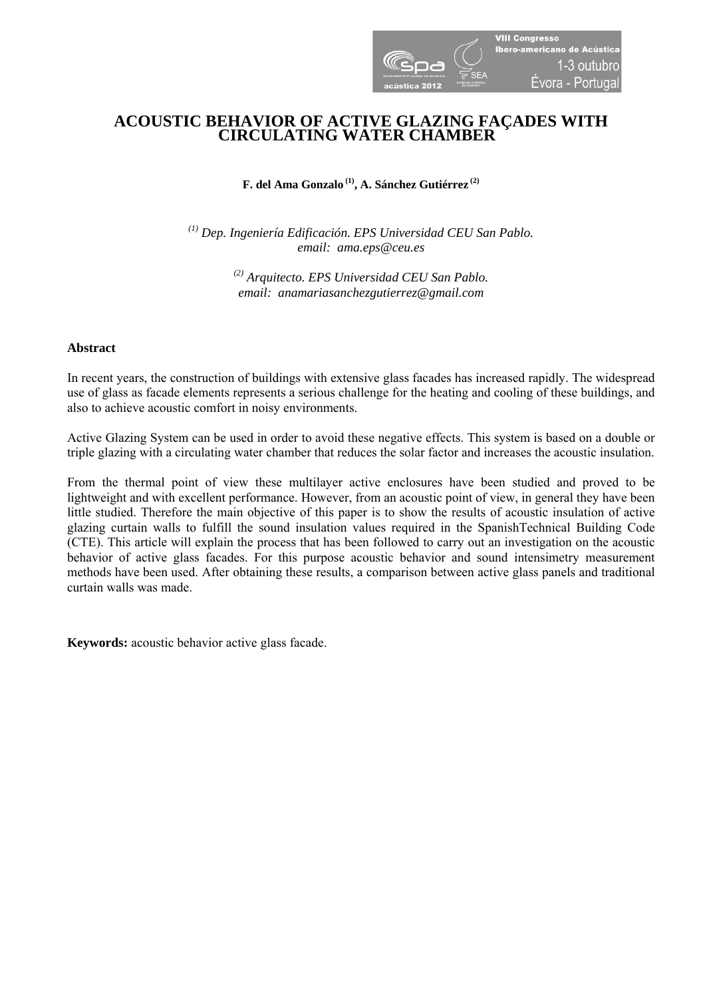

# **ACOUSTIC BEHAVIOR OF ACTIVE GLAZING FAÇADES WITH CIRCULATING WATER CHAMBER**

**F. del Ama Gonzalo (1), A. Sánchez Gutiérrez (2)**

*(1) Dep. Ingeniería Edificación. EPS Universidad CEU San Pablo. email: ama.eps@ceu.es* 

> *(2) Arquitecto. EPS Universidad CEU San Pablo. email: anamariasanchezgutierrez@gmail.com*

## **Abstract**

In recent years, the construction of buildings with extensive glass facades has increased rapidly. The widespread use of glass as facade elements represents a serious challenge for the heating and cooling of these buildings, and also to achieve acoustic comfort in noisy environments.

Active Glazing System can be used in order to avoid these negative effects. This system is based on a double or triple glazing with a circulating water chamber that reduces the solar factor and increases the acoustic insulation.

From the thermal point of view these multilayer active enclosures have been studied and proved to be lightweight and with excellent performance. However, from an acoustic point of view, in general they have been little studied. Therefore the main objective of this paper is to show the results of acoustic insulation of active glazing curtain walls to fulfill the sound insulation values required in the SpanishTechnical Building Code (CTE). This article will explain the process that has been followed to carry out an investigation on the acoustic behavior of active glass facades. For this purpose acoustic behavior and sound intensimetry measurement methods have been used. After obtaining these results, a comparison between active glass panels and traditional curtain walls was made.

**Keywords:** acoustic behavior active glass facade.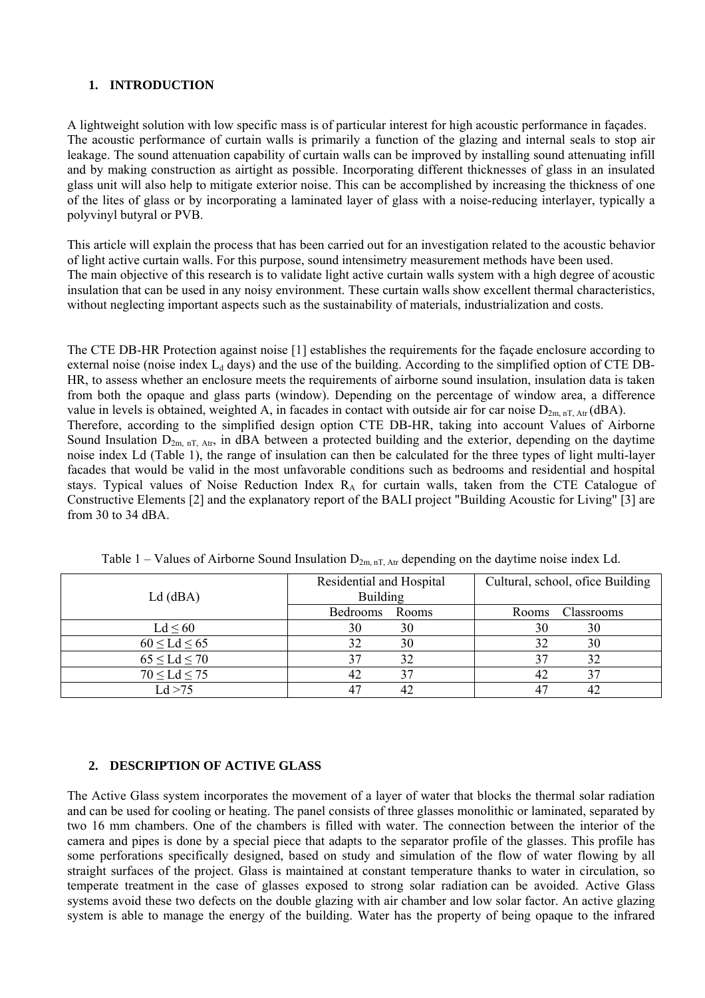# **1. INTRODUCTION**

A lightweight solution with low specific mass is of particular interest for high acoustic performance in façades. The acoustic performance of curtain walls is primarily a function of the glazing and internal seals to stop air leakage. The sound attenuation capability of curtain walls can be improved by installing sound attenuating infill and by making construction as airtight as possible. Incorporating different thicknesses of glass in an insulated glass unit will also help to mitigate exterior noise. This can be accomplished by increasing the thickness of one of the lites of glass or by incorporating a laminated layer of glass with a noise-reducing interlayer, typically a polyvinyl butyral or PVB.

This article will explain the process that has been carried out for an investigation related to the acoustic behavior of light active curtain walls. For this purpose, sound intensimetry measurement methods have been used. The main objective of this research is to validate light active curtain walls system with a high degree of acoustic insulation that can be used in any noisy environment. These curtain walls show excellent thermal characteristics, without neglecting important aspects such as the sustainability of materials, industrialization and costs.

The CTE DB-HR Protection against noise [1] establishes the requirements for the façade enclosure according to external noise (noise index  $L_d$  days) and the use of the building. According to the simplified option of CTE DB-HR, to assess whether an enclosure meets the requirements of airborne sound insulation, insulation data is taken from both the opaque and glass parts (window). Depending on the percentage of window area, a difference value in levels is obtained, weighted A, in facades in contact with outside air for car noise  $D_{2m,nT,Art}(dBA)$ . Therefore, according to the simplified design option CTE DB-HR, taking into account Values of Airborne Sound Insulation  $D_{2m,nT, Art}$ , in dBA between a protected building and the exterior, depending on the daytime noise index Ld (Table 1), the range of insulation can then be calculated for the three types of light multi-layer facades that would be valid in the most unfavorable conditions such as bedrooms and residential and hospital stays. Typical values of Noise Reduction Index RA for curtain walls, taken from the CTE Catalogue of Constructive Elements [2] and the explanatory report of the BALI project "Building Acoustic for Living" [3] are from 30 to 34 dBA.

| $Ld$ (dBA)           | Residential and Hospital<br><b>Building</b> | Cultural, school, ofice Building |
|----------------------|---------------------------------------------|----------------------------------|
|                      | Bedrooms<br>Rooms                           | Classrooms<br>Rooms              |
| $Ld \leq 60$         | 30<br>30                                    | 30<br>30                         |
| $60 \leq Ld \leq 65$ | 32<br>30                                    | 32<br>30                         |
| $65 \leq Ld \leq 70$ | 37<br>32                                    | 32                               |
| $70 \leq Ld \leq 75$ | 42                                          | 42                               |
| Ld > 75              | 47<br>42                                    | 42                               |

Table 1 – Values of Airborne Sound Insulation  $D_{2m,nT, Art}$  depending on the daytime noise index Ld.

## **2. DESCRIPTION OF ACTIVE GLASS**

The Active Glass system incorporates the movement of a layer of water that blocks the thermal solar radiation and can be used for cooling or heating. The panel consists of three glasses monolithic or laminated, separated by two 16 mm chambers. One of the chambers is filled with water. The connection between the interior of the camera and pipes is done by a special piece that adapts to the separator profile of the glasses. This profile has some perforations specifically designed, based on study and simulation of the flow of water flowing by all straight surfaces of the project. Glass is maintained at constant temperature thanks to water in circulation, so temperate treatment in the case of glasses exposed to strong solar radiation can be avoided. Active Glass systems avoid these two defects on the double glazing with air chamber and low solar factor. An active glazing system is able to manage the energy of the building. Water has the property of being opaque to the infrared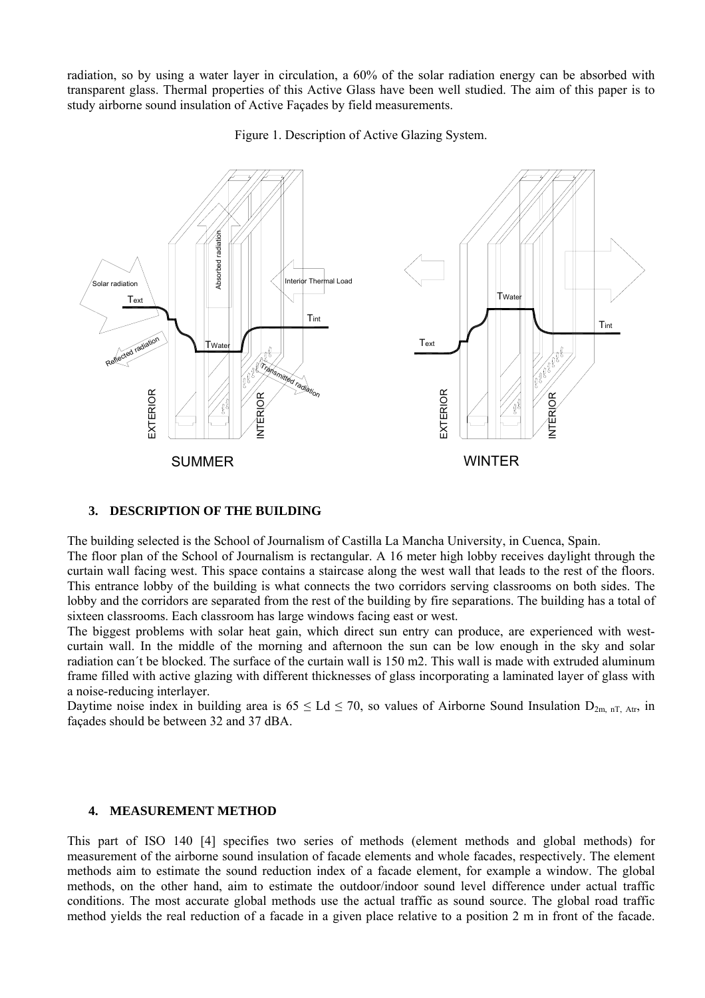radiation, so by using a water layer in circulation, a 60% of the solar radiation energy can be absorbed with transparent glass. Thermal properties of this Active Glass have been well studied. The aim of this paper is to study airborne sound insulation of Active Façades by field measurements.

Figure 1. Description of Active Glazing System.



## **3. DESCRIPTION OF THE BUILDING**

The building selected is the School of Journalism of Castilla La Mancha University, in Cuenca, Spain.

The floor plan of the School of Journalism is rectangular. A 16 meter high lobby receives daylight through the curtain wall facing west. This space contains a staircase along the west wall that leads to the rest of the floors. This entrance lobby of the building is what connects the two corridors serving classrooms on both sides. The lobby and the corridors are separated from the rest of the building by fire separations. The building has a total of sixteen classrooms. Each classroom has large windows facing east or west.

The biggest problems with solar heat gain, which direct sun entry can produce, are experienced with westcurtain wall. In the middle of the morning and afternoon the sun can be low enough in the sky and solar radiation can´t be blocked. The surface of the curtain wall is 150 m2. This wall is made with extruded aluminum frame filled with active glazing with different thicknesses of glass incorporating a laminated layer of glass with a noise-reducing interlayer.

Daytime noise index in building area is  $65 \leq Ld \leq 70$ , so values of Airborne Sound Insulation  $D_{2m,nT, Art}$ , in façades should be between 32 and 37 dBA.

## **4. MEASUREMENT METHOD**

This part of ISO 140 [4] specifies two series of methods (element methods and global methods) for measurement of the airborne sound insulation of facade elements and whole facades, respectively. The element methods aim to estimate the sound reduction index of a facade element, for example a window. The global methods, on the other hand, aim to estimate the outdoor/indoor sound level difference under actual traffic conditions. The most accurate global methods use the actual traffic as sound source. The global road traffic method yields the real reduction of a facade in a given place relative to a position 2 m in front of the facade.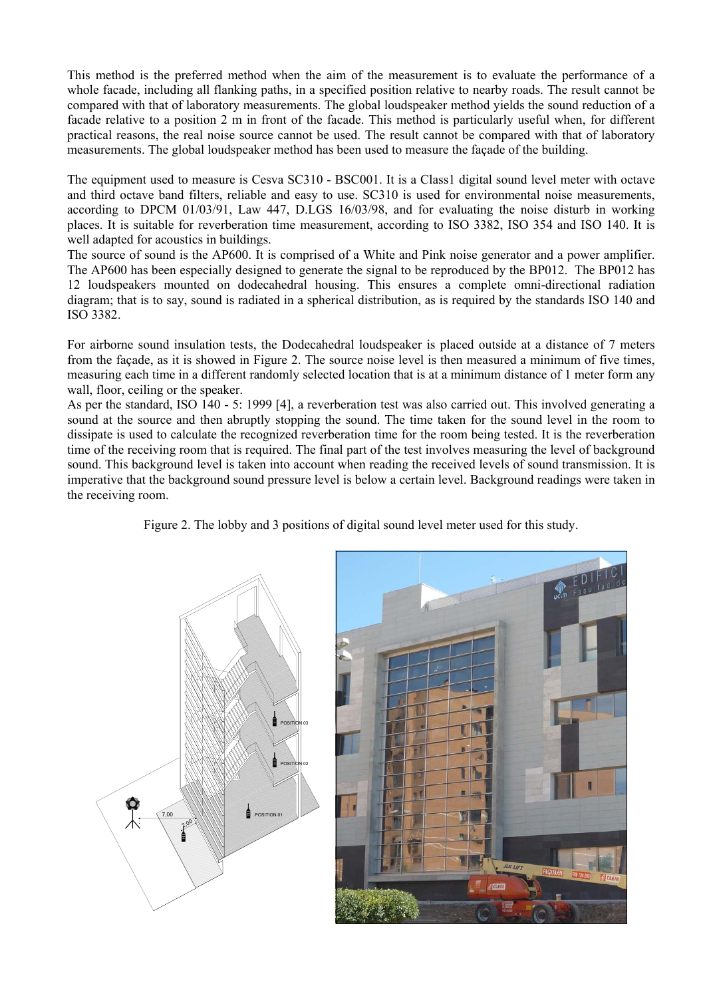This method is the preferred method when the aim of the measurement is to evaluate the performance of a whole facade, including all flanking paths, in a specified position relative to nearby roads. The result cannot be compared with that of laboratory measurements. The global loudspeaker method yields the sound reduction of a facade relative to a position 2 m in front of the facade. This method is particularly useful when, for different practical reasons, the real noise source cannot be used. The result cannot be compared with that of laboratory measurements. The global loudspeaker method has been used to measure the façade of the building.

The equipment used to measure is Cesva SC310 - BSC001. It is a Class1 digital sound level meter with octave and third octave band filters, reliable and easy to use. SC310 is used for environmental noise measurements, according to DPCM 01/03/91, Law 447, D.LGS 16/03/98, and for evaluating the noise disturb in working places. It is suitable for reverberation time measurement, according to ISO 3382, ISO 354 and ISO 140. It is well adapted for acoustics in buildings.

The source of sound is the AP600. It is comprised of a White and Pink noise generator and a power amplifier. The AP600 has been especially designed to generate the signal to be reproduced by the BP012. The BP012 has 12 loudspeakers mounted on dodecahedral housing. This ensures a complete omni-directional radiation diagram; that is to say, sound is radiated in a spherical distribution, as is required by the standards ISO 140 and ISO 3382.

For airborne sound insulation tests, the Dodecahedral loudspeaker is placed outside at a distance of 7 meters from the façade, as it is showed in Figure 2. The source noise level is then measured a minimum of five times, measuring each time in a different randomly selected location that is at a minimum distance of 1 meter form any wall, floor, ceiling or the speaker.

As per the standard, ISO 140 - 5: 1999 [4], a reverberation test was also carried out. This involved generating a sound at the source and then abruptly stopping the sound. The time taken for the sound level in the room to dissipate is used to calculate the recognized reverberation time for the room being tested. It is the reverberation time of the receiving room that is required. The final part of the test involves measuring the level of background sound. This background level is taken into account when reading the received levels of sound transmission. It is imperative that the background sound pressure level is below a certain level. Background readings were taken in the receiving room.

Figure 2. The lobby and 3 positions of digital sound level meter used for this study.



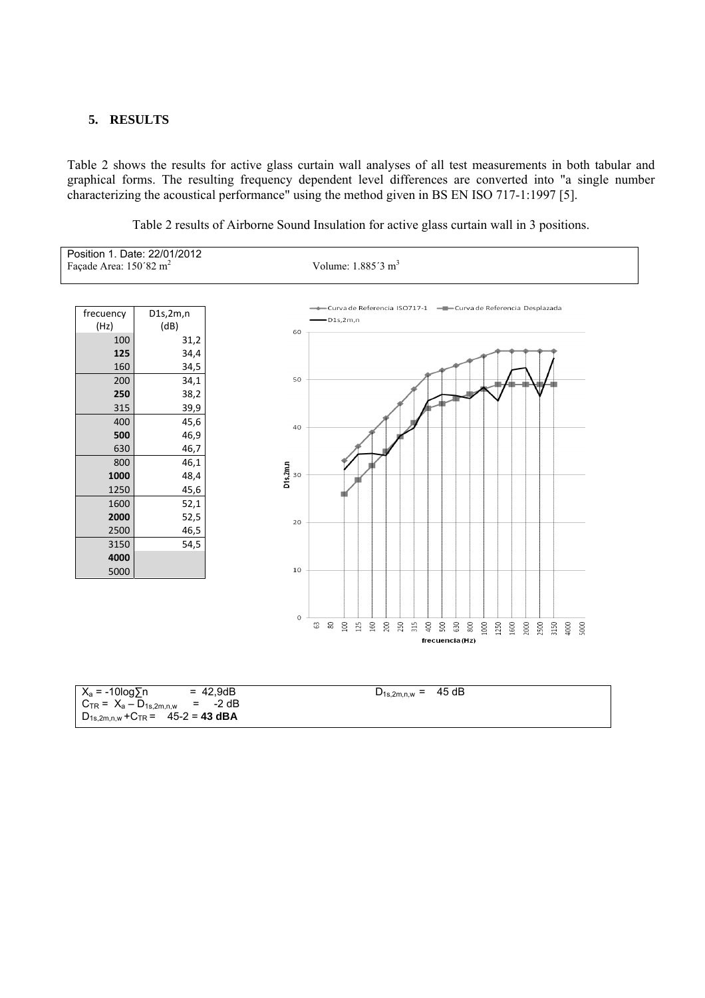#### **5. RESULTS**

Table 2 shows the results for active glass curtain wall analyses of all test measurements in both tabular and graphical forms. The resulting frequency dependent level differences are converted into "a single number characterizing the acoustical performance" using the method given in BS EN ISO 717-1:1997 [5].



Table 2 results of Airborne Sound Insulation for active glass curtain wall in 3 positions.

| $X_a = -10\log \sum n$                     | $= 42,9dB$ | $D_{1s,2m,n,w} = 45 dB$ |  |
|--------------------------------------------|------------|-------------------------|--|
| $C_{TR} = X_a - D_{1s,2m,n,w}$ = -2 dB     |            |                         |  |
| $D_{1s,2m,n,w}$ + $C_{TR}$ = 45-2 = 43 dBA |            |                         |  |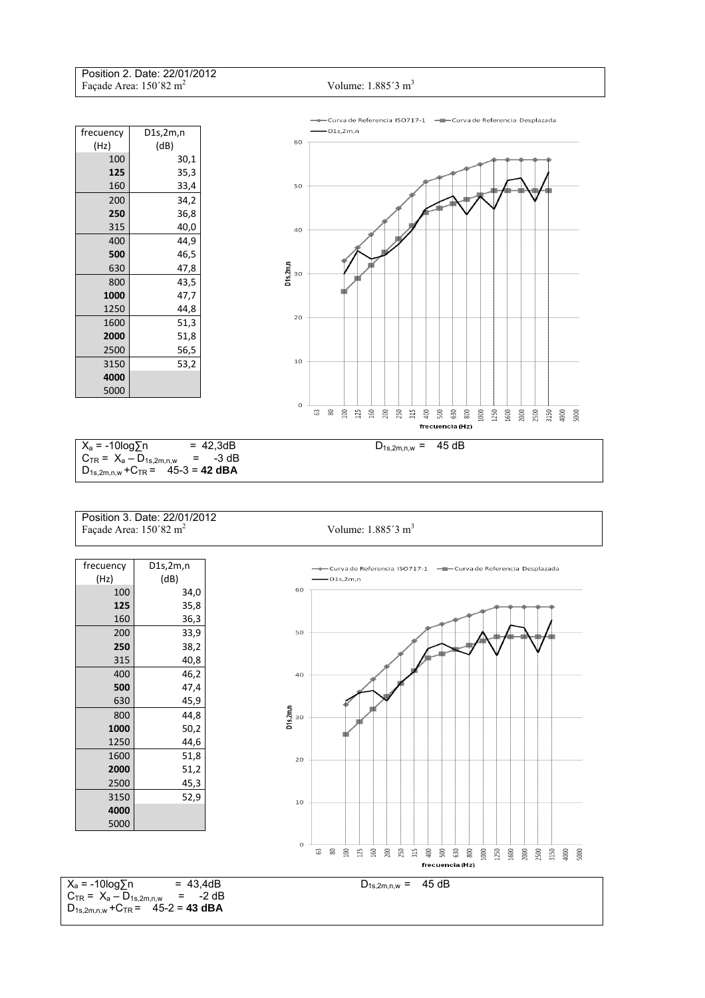Position 2. Date: 22/01/2012 Facade Area: 150´82 m<sup>2</sup>





Position 3. Date: 22/01/2012 Façade Area: 150´82 m<sup>2</sup>

Volume: 1.885<sup>'3</sup> m<sup>3</sup>

| frecuency                                                                                 | D1s, 2m, n                                                         |                         | ---Curva de Referencia ISO717-1 ----Curva de Referencia Desplazada                                                                                               |  |
|-------------------------------------------------------------------------------------------|--------------------------------------------------------------------|-------------------------|------------------------------------------------------------------------------------------------------------------------------------------------------------------|--|
| (Hz)                                                                                      | (dB)                                                               |                         | $-D1s,2m,n$                                                                                                                                                      |  |
| 100                                                                                       | 34,0                                                               | 60                      |                                                                                                                                                                  |  |
| 125                                                                                       | 35,8                                                               |                         |                                                                                                                                                                  |  |
| 160                                                                                       | 36,3                                                               |                         |                                                                                                                                                                  |  |
| 200                                                                                       | 33,9                                                               | 50                      |                                                                                                                                                                  |  |
| 250                                                                                       | 38,2                                                               |                         |                                                                                                                                                                  |  |
| 315                                                                                       | 40,8                                                               |                         |                                                                                                                                                                  |  |
| 400                                                                                       | 46,2                                                               | 40                      |                                                                                                                                                                  |  |
| 500                                                                                       | 47,4                                                               |                         |                                                                                                                                                                  |  |
| 630                                                                                       | 45,9                                                               |                         |                                                                                                                                                                  |  |
| 800                                                                                       | 44,8                                                               | $Dis\lim_{\delta\to 0}$ |                                                                                                                                                                  |  |
| 1000                                                                                      | 50,2                                                               |                         |                                                                                                                                                                  |  |
| 1250                                                                                      | 44,6                                                               |                         |                                                                                                                                                                  |  |
| 1600                                                                                      | 51,8                                                               | 20                      |                                                                                                                                                                  |  |
| 2000                                                                                      | 51,2                                                               |                         |                                                                                                                                                                  |  |
| 2500                                                                                      | 45,3                                                               |                         |                                                                                                                                                                  |  |
| 3150                                                                                      | 52,9                                                               | 10                      |                                                                                                                                                                  |  |
| 4000                                                                                      |                                                                    |                         |                                                                                                                                                                  |  |
| 5000                                                                                      |                                                                    |                         |                                                                                                                                                                  |  |
|                                                                                           |                                                                    |                         |                                                                                                                                                                  |  |
|                                                                                           |                                                                    | $\rm _O$                | $\pmb{\mathbb{S}}$<br>G3<br>$\Xi$<br>500<br>630<br>1000<br>125<br>160<br>200<br>250<br>315<br>400<br>800<br>1250<br>1600<br>2000<br>2500<br>3150<br>4000<br>5000 |  |
|                                                                                           |                                                                    |                         | frecuencia (Hz)                                                                                                                                                  |  |
|                                                                                           |                                                                    |                         |                                                                                                                                                                  |  |
|                                                                                           | $X_a = -10\log \sum n$<br>$= 43,4dB$<br>45 dB<br>$D_{1s,2m,n,w} =$ |                         |                                                                                                                                                                  |  |
| $C_{TR} = X_a - D_{1s,2m,n,w}$<br>$= -2 dB$<br>$D_{1s,2m,n,w}$ + $C_{TR}$ = 45-2 = 43 dBA |                                                                    |                         |                                                                                                                                                                  |  |
|                                                                                           |                                                                    |                         |                                                                                                                                                                  |  |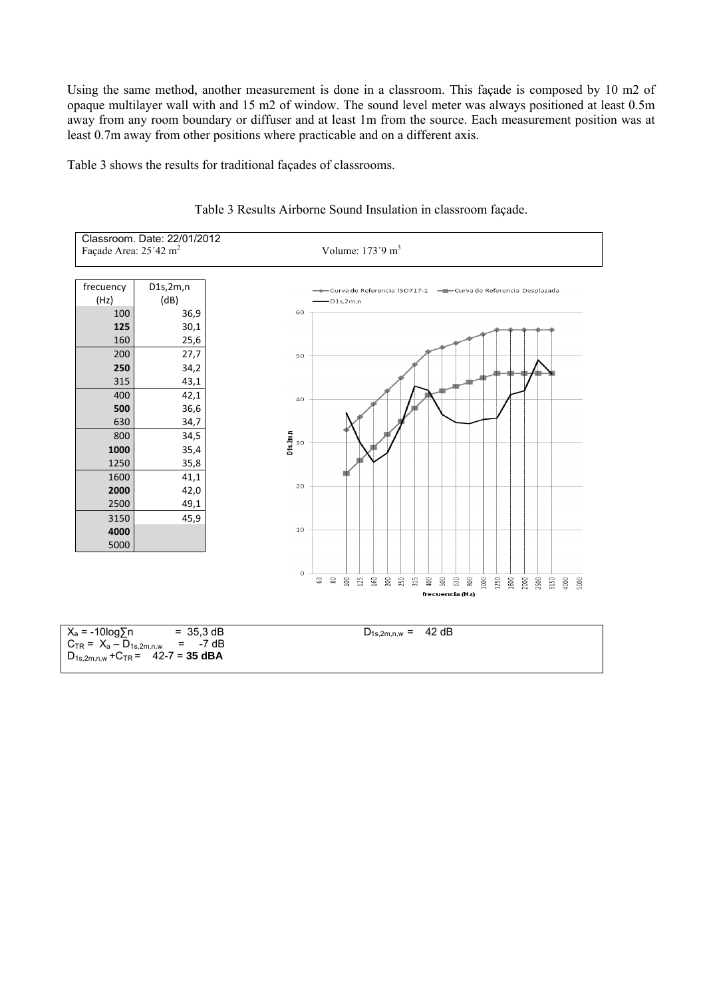Using the same method, another measurement is done in a classroom. This façade is composed by 10 m2 of opaque multilayer wall with and 15 m2 of window. The sound level meter was always positioned at least 0.5m away from any room boundary or diffuser and at least 1m from the source. Each measurement position was at least 0.7m away from other positions where practicable and on a different axis.

Table 3 shows the results for traditional façades of classrooms.



Table 3 Results Airborne Sound Insulation in classroom façade.

| $X_a = -10\log \sqrt{2}n$<br>$= 35.3 \text{ dB}$ | $D_{1s,2m,n,w} = 42 dB$ |
|--------------------------------------------------|-------------------------|
| $C_{TR} = X_a - D_{1s,2m,n,w}$ = -7 dB           |                         |
| $D_{1s,2m,n,w}$ + $C_{TR}$ = 42-7 = 35 dBA       |                         |
|                                                  |                         |